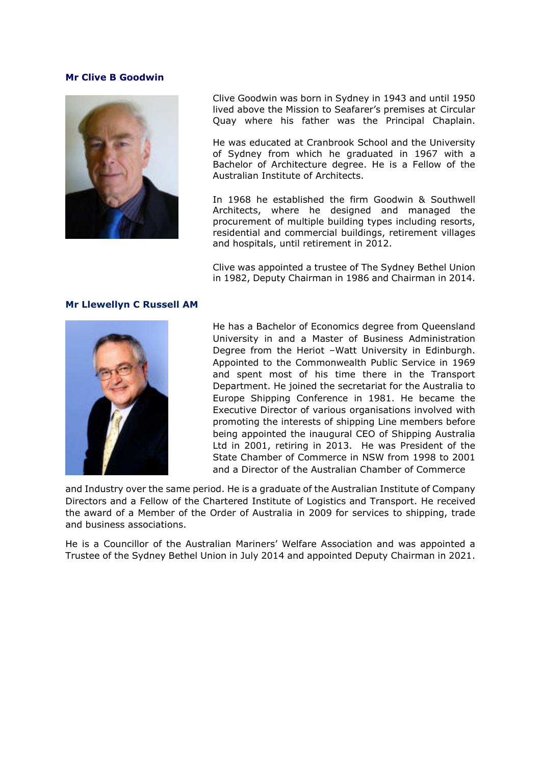## **Mr Clive B Goodwin**



Clive Goodwin was born in Sydney in 1943 and until 1950 lived above the Mission to Seafarer's premises at Circular Quay where his father was the Principal Chaplain.

He was educated at Cranbrook School and the University of Sydney from which he graduated in 1967 with a Bachelor of Architecture degree. He is a Fellow of the Australian Institute of Architects.

In 1968 he established the firm Goodwin & Southwell Architects, where he designed and managed the procurement of multiple building types including resorts, residential and commercial buildings, retirement villages and hospitals, until retirement in 2012.

Clive was appointed a trustee of The Sydney Bethel Union in 1982, Deputy Chairman in 1986 and Chairman in 2014.

## **Mr Llewellyn C Russell AM**



He has a Bachelor of Economics degree from Queensland University in and a Master of Business Administration Degree from the Heriot –Watt University in Edinburgh. Appointed to the Commonwealth Public Service in 1969 and spent most of his time there in the Transport Department. He joined the secretariat for the Australia to Europe Shipping Conference in 1981. He became the Executive Director of various organisations involved with promoting the interests of shipping Line members before being appointed the inaugural CEO of Shipping Australia Ltd in 2001, retiring in 2013. He was President of the State Chamber of Commerce in NSW from 1998 to 2001 and a Director of the Australian Chamber of Commerce

and Industry over the same period. He is a graduate of the Australian Institute of Company Directors and a Fellow of the Chartered Institute of Logistics and Transport. He received the award of a Member of the Order of Australia in 2009 for services to shipping, trade and business associations.

He is a Councillor of the Australian Mariners' Welfare Association and was appointed a Trustee of the Sydney Bethel Union in July 2014 and appointed Deputy Chairman in 2021.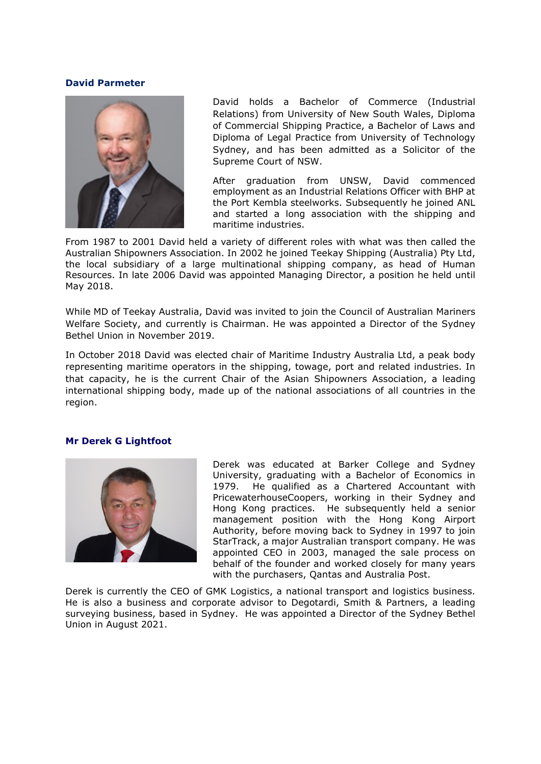## **David Parmeter**



David holds a Bachelor of Commerce (Industrial Relations) from University of New South Wales, Diploma of Commercial Shipping Practice, a Bachelor of Laws and Diploma of Legal Practice from University of Technology Sydney, and has been admitted as a Solicitor of the Supreme Court of NSW.

After graduation from UNSW, David commenced employment as an Industrial Relations Officer with BHP at the Port Kembla steelworks. Subsequently he joined ANL and started a long association with the shipping and maritime industries.

From 1987 to 2001 David held a variety of different roles with what was then called the Australian Shipowners Association. In 2002 he joined Teekay Shipping (Australia) Pty Ltd, the local subsidiary of a large multinational shipping company, as head of Human Resources. In late 2006 David was appointed Managing Director, a position he held until May 2018.

While MD of Teekay Australia, David was invited to join the Council of Australian Mariners Welfare Society, and currently is Chairman. He was appointed a Director of the Sydney Bethel Union in November 2019.

In October 2018 David was elected chair of Maritime Industry Australia Ltd, a peak body representing maritime operators in the shipping, towage, port and related industries. In that capacity, he is the current Chair of the Asian Shipowners Association, a leading international shipping body, made up of the national associations of all countries in the region.

# **Mr Derek G Lightfoot**



Derek was educated at Barker College and Sydney University, graduating with a Bachelor of Economics in 1979. He qualified as a Chartered Accountant with PricewaterhouseCoopers, working in their Sydney and Hong Kong practices. He subsequently held a senior management position with the Hong Kong Airport Authority, before moving back to Sydney in 1997 to join StarTrack, a major Australian transport company. He was appointed CEO in 2003, managed the sale process on behalf of the founder and worked closely for many years with the purchasers, Qantas and Australia Post.

Derek is currently the CEO of GMK Logistics, a national transport and logistics business. He is also a business and corporate advisor to Degotardi, Smith & Partners, a leading surveying business, based in Sydney. He was appointed a Director of the Sydney Bethel Union in August 2021.